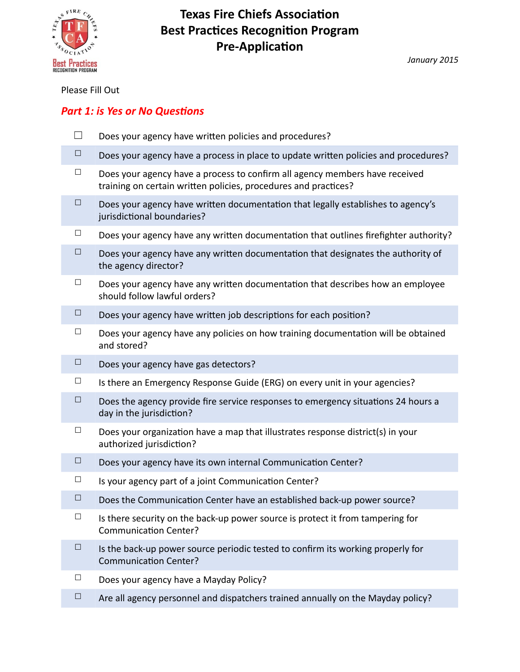

*January 2015* 

## Please Fill Out

# *Part 1: is Yes or No Questions*

- $\Box$  Does your agency have written policies and procedures?
- $\Box$  Does your agency have a process in place to update written policies and procedures?
- $\Box$  Does your agency have a process to confirm all agency members have received training on certain written policies, procedures and practices?
- $\Box$  Does your agency have written documentation that legally establishes to agency's jurisdictional boundaries?
- $\Box$  Does your agency have any written documentation that outlines firefighter authority?
- $\Box$  Does your agency have any written documentation that designates the authority of the agency director?
- $\Box$  Does your agency have any written documentation that describes how an employee should follow lawful orders?
- $\Box$  Does your agency have written job descriptions for each position?
- $\Box$  Does your agency have any policies on how training documentation will be obtained and stored?
- $\Box$  Does your agency have gas detectors?
- $\Box$  Is there an Emergency Response Guide (ERG) on every unit in your agencies?
- $\Box$  Does the agency provide fire service responses to emergency situations 24 hours a day in the jurisdiction?
- $\Box$  Does your organization have a map that illustrates response district(s) in your authorized jurisdiction?
- $\Box$  Does your agency have its own internal Communication Center?
- $\Box$  Is your agency part of a joint Communication Center?
- $\Box$  Does the Communication Center have an established back-up power source?
- $\Box$  Is there security on the back-up power source is protect it from tampering for Communication Center?
- $\Box$  Is the back-up power source periodic tested to confirm its working properly for Communication Center?
- $\Box$  Does your agency have a Mayday Policy?
- $\Box$  Are all agency personnel and dispatchers trained annually on the Mayday policy?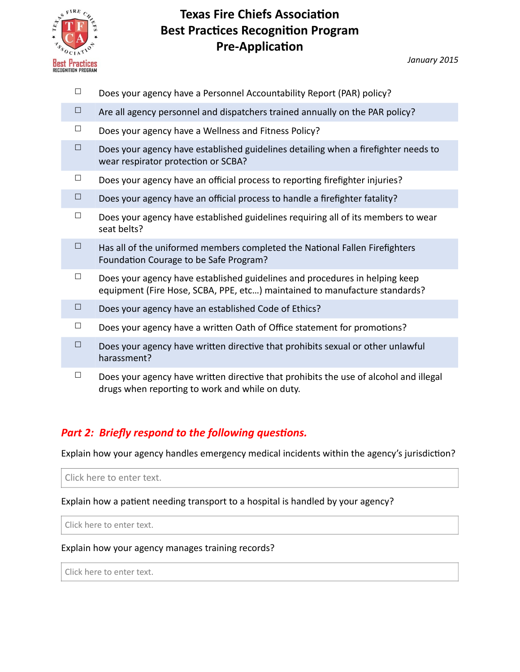

*January 2015* 

- $\Box$  Does your agency have a Personnel Accountability Report (PAR) policy?
- $\Box$  Are all agency personnel and dispatchers trained annually on the PAR policy?
- $\Box$  Does your agency have a Wellness and Fitness Policy?
- $\Box$  Does your agency have established guidelines detailing when a firefighter needs to wear respirator protection or SCBA?
- $\Box$  Does your agency have an official process to reporting firefighter injuries?
- $\Box$  Does your agency have an official process to handle a firefighter fatality?
- $\Box$  Does your agency have established guidelines requiring all of its members to wear seat belts?
- $\Box$  Has all of the uniformed members completed the National Fallen Firefighters Foundation Courage to be Safe Program?
- $\Box$  Does your agency have established guidelines and procedures in helping keep equipment (Fire Hose, SCBA, PPE, etc...) maintained to manufacture standards?
- $\Box$  Does your agency have an established Code of Ethics?
- □ Does your agency have a written Oath of Office statement for promotions?
- $\Box$  Does your agency have written directive that prohibits sexual or other unlawful harassment?
- $\Box$  Does your agency have written directive that prohibits the use of alcohol and illegal drugs when reporting to work and while on duty.

# *Part 2: Briefly respond to the following questions.*

Explain how your agency handles emergency medical incidents within the agency's jurisdiction?

Click here to enter text.

Explain how a patient needing transport to a hospital is handled by your agency?

Click here to enter text.

#### Explain how your agency manages training records?

Click here to enter text.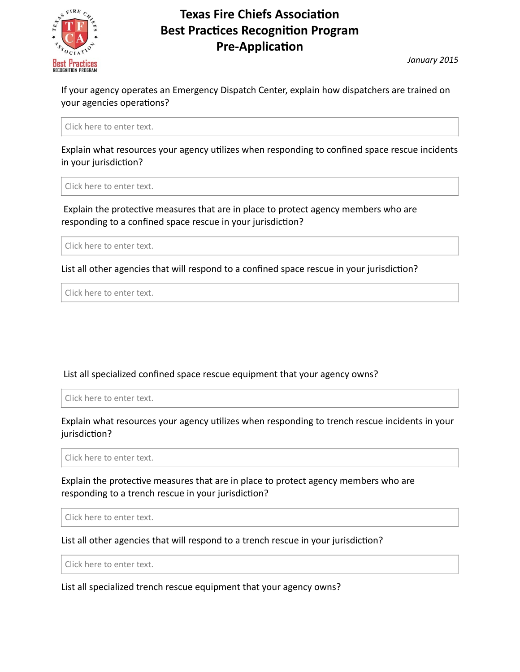

*January 2015* 

If your agency operates an Emergency Dispatch Center, explain how dispatchers are trained on your agencies operations?

Click here to enter text.

Explain what resources your agency utilizes when responding to confined space rescue incidents in your jurisdiction?

Click here to enter text.

Explain the protective measures that are in place to protect agency members who are responding to a confined space rescue in your jurisdiction?

Click here to enter text.

List all other agencies that will respond to a confined space rescue in your jurisdiction?

Click here to enter text.

### List all specialized confined space rescue equipment that your agency owns?

Click here to enter text.

Explain what resources your agency utilizes when responding to trench rescue incidents in your jurisdiction?

Click here to enter text.

Explain the protective measures that are in place to protect agency members who are responding to a trench rescue in your jurisdiction?

Click here to enter text.

List all other agencies that will respond to a trench rescue in your jurisdiction?

Click here to enter text.

List all specialized trench rescue equipment that your agency owns?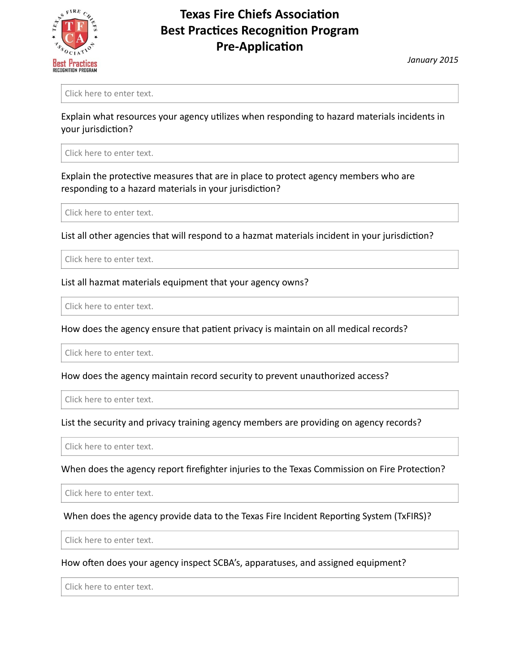

*January 2015* 

Click here to enter text.

Explain what resources your agency utilizes when responding to hazard materials incidents in your jurisdiction?

Click here to enter text.

Explain the protective measures that are in place to protect agency members who are responding to a hazard materials in your jurisdiction?

Click here to enter text.

List all other agencies that will respond to a hazmat materials incident in your jurisdiction?

Click here to enter text.

#### List all hazmat materials equipment that your agency owns?

Click here to enter text.

How does the agency ensure that patient privacy is maintain on all medical records?

Click here to enter text.

How does the agency maintain record security to prevent unauthorized access?

Click here to enter text.

List the security and privacy training agency members are providing on agency records?

Click here to enter text.

When does the agency report firefighter injuries to the Texas Commission on Fire Protection?

Click here to enter text.

When does the agency provide data to the Texas Fire Incident Reporting System (TxFIRS)?

Click here to enter text.

How often does your agency inspect SCBA's, apparatuses, and assigned equipment?

Click here to enter text.